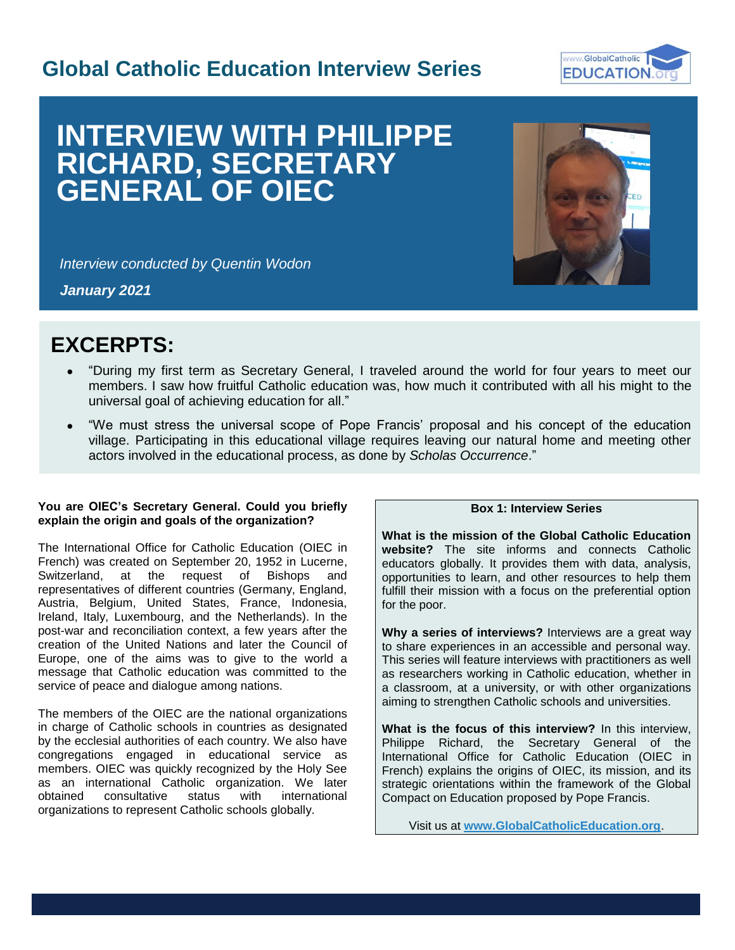## **Global Catholic Education Interview Series**



# **INTERVIEW WITH PHILIPPE RICHARD, SECRETARY GENERAL OF OIEC**



I

*Interview conducted by Quentin Wodon*

*January 2021*

## **EXCERPTS:**

- "During my first term as Secretary General, I traveled around the world for four years to meet our members. I saw how fruitful Catholic education was, how much it contributed with all his might to the universal goal of achieving education for all."
- "We must stress the universal scope of Pope Francis' proposal and his concept of the education village. Participating in this educational village requires leaving our natural home and meeting other actors involved in the educational process, as done by *Scholas Occurrence*."

#### **You are OIEC's Secretary General. Could you briefly explain the origin and goals of the organization?**

The International Office for Catholic Education (OIEC in French) was created on September 20, 1952 in Lucerne, Switzerland, at the request of Bishops and representatives of different countries (Germany, England, Austria, Belgium, United States, France, Indonesia, Ireland, Italy, Luxembourg, and the Netherlands). In the post-war and reconciliation context, a few years after the creation of the United Nations and later the Council of Europe, one of the aims was to give to the world a message that Catholic education was committed to the service of peace and dialogue among nations.

The members of the OIEC are the national organizations in charge of Catholic schools in countries as designated by the ecclesial authorities of each country. We also have congregations engaged in educational service as members. OIEC was quickly recognized by the Holy See as an international Catholic organization. We later obtained consultative status with international organizations to represent Catholic schools globally.

### **Box 1: Interview Series**

**What is the mission of the Global Catholic Education website?** The site informs and connects Catholic educators globally. It provides them with data, analysis, opportunities to learn, and other resources to help them fulfill their mission with a focus on the preferential option for the poor.

**Why a series of interviews?** Interviews are a great way to share experiences in an accessible and personal way. This series will feature interviews with practitioners as well as researchers working in Catholic education, whether in a classroom, at a university, or with other organizations aiming to strengthen Catholic schools and universities.

**What is the focus of this interview?** In this interview, Philippe Richard, the Secretary General of the International Office for Catholic Education (OIEC in French) explains the origins of OIEC, its mission, and its strategic orientations within the framework of the Global Compact on Education proposed by Pope Francis.

Visit us at **[www.GlobalCatholicEducation.org](http://www.globalcatholiceducation.org/)**.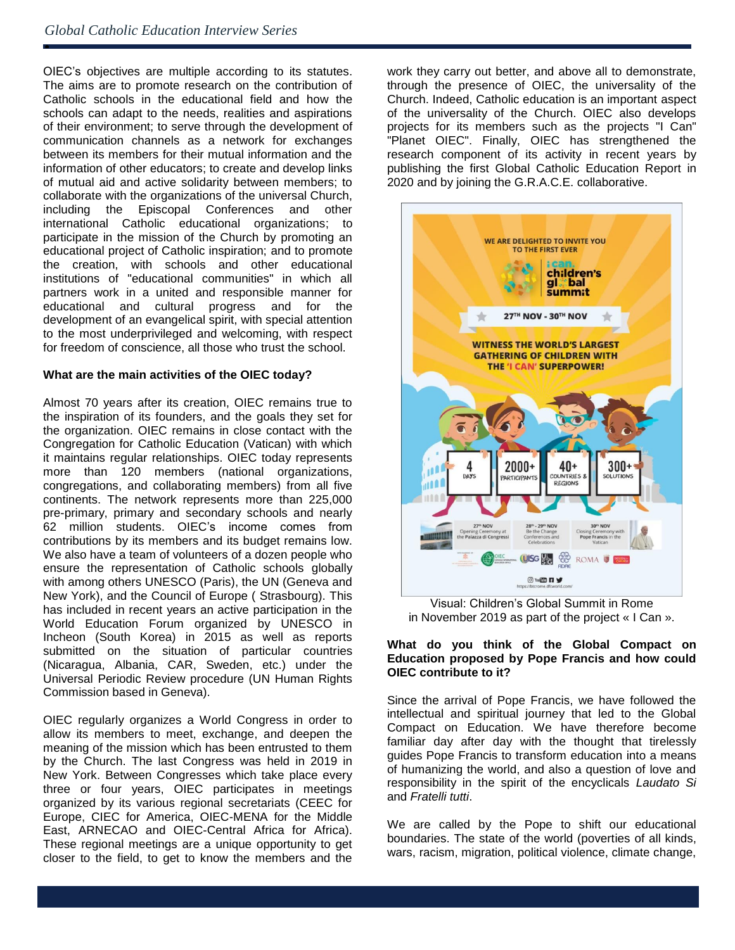ė

OIEC's objectives are multiple according to its statutes. The aims are to promote research on the contribution of Catholic schools in the educational field and how the schools can adapt to the needs, realities and aspirations of their environment; to serve through the development of communication channels as a network for exchanges between its members for their mutual information and the information of other educators; to create and develop links of mutual aid and active solidarity between members; to collaborate with the organizations of the universal Church, including the Episcopal Conferences and other international Catholic educational organizations; to participate in the mission of the Church by promoting an educational project of Catholic inspiration; and to promote the creation, with schools and other educational institutions of "educational communities" in which all partners work in a united and responsible manner for educational and cultural progress and for the development of an evangelical spirit, with special attention to the most underprivileged and welcoming, with respect for freedom of conscience, all those who trust the school.

#### **What are the main activities of the OIEC today?**

Almost 70 years after its creation, OIEC remains true to the inspiration of its founders, and the goals they set for the organization. OIEC remains in close contact with the Congregation for Catholic Education (Vatican) with which it maintains regular relationships. OIEC today represents more than 120 members (national organizations, congregations, and collaborating members) from all five continents. The network represents more than 225,000 pre-primary, primary and secondary schools and nearly 62 million students. OIEC's income comes from contributions by its members and its budget remains low. We also have a team of volunteers of a dozen people who ensure the representation of Catholic schools globally with among others UNESCO (Paris), the UN (Geneva and New York), and the Council of Europe ( Strasbourg). This has included in recent years an active participation in the World Education Forum organized by UNESCO in Incheon (South Korea) in 2015 as well as reports submitted on the situation of particular countries (Nicaragua, Albania, CAR, Sweden, etc.) under the Universal Periodic Review procedure (UN Human Rights Commission based in Geneva).

OIEC regularly organizes a World Congress in order to allow its members to meet, exchange, and deepen the meaning of the mission which has been entrusted to them by the Church. The last Congress was held in 2019 in New York. Between Congresses which take place every three or four years, OIEC participates in meetings organized by its various regional secretariats (CEEC for Europe, CIEC for America, OIEC-MENA for the Middle East, ARNECAO and OIEC-Central Africa for Africa). These regional meetings are a unique opportunity to get closer to the field, to get to know the members and the

work they carry out better, and above all to demonstrate, through the presence of OIEC, the universality of the Church. Indeed, Catholic education is an important aspect of the universality of the Church. OIEC also develops projects for its members such as the projects "I Can" "Planet OIEC". Finally, OIEC has strengthened the research component of its activity in recent years by publishing the first Global Catholic Education Report in 2020 and by joining the G.R.A.C.E. collaborative.



Visual: Children's Global Summit in Rome in November 2019 as part of the project « I Can ».

#### **What do you think of the Global Compact on Education proposed by Pope Francis and how could OIEC contribute to it?**

Since the arrival of Pope Francis, we have followed the intellectual and spiritual journey that led to the Global Compact on Education. We have therefore become familiar day after day with the thought that tirelessly guides Pope Francis to transform education into a means of humanizing the world, and also a question of love and responsibility in the spirit of the encyclicals *Laudato Si* and *Fratelli tutti*.

We are called by the Pope to shift our educational boundaries. The state of the world (poverties of all kinds, wars, racism, migration, political violence, climate change,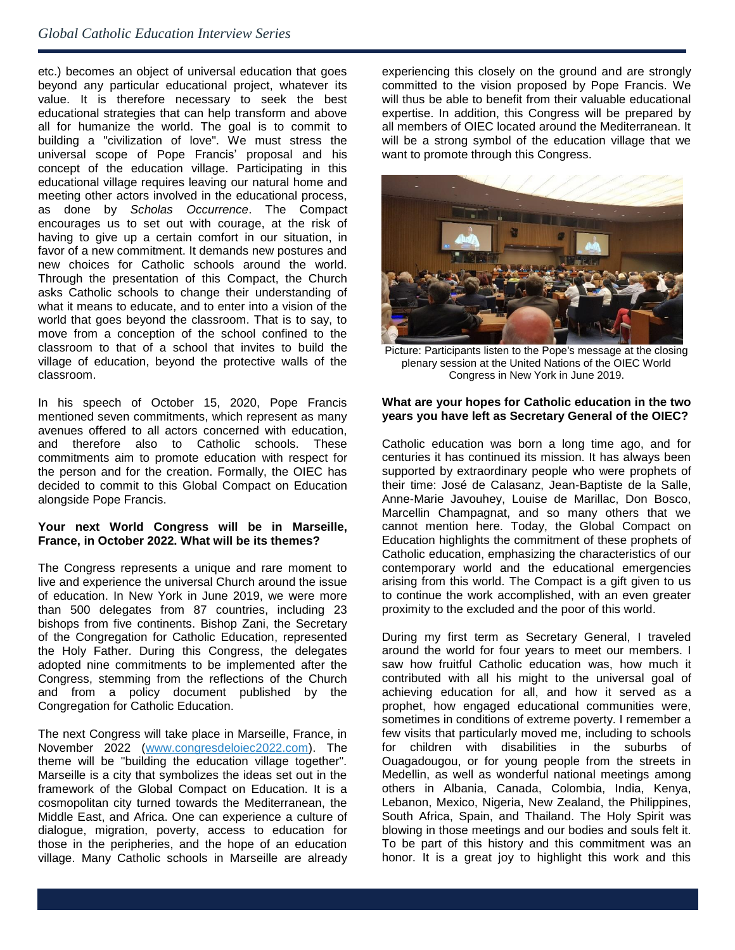etc.) becomes an object of universal education that goes beyond any particular educational project, whatever its value. It is therefore necessary to seek the best educational strategies that can help transform and above all for humanize the world. The goal is to commit to building a "civilization of love". We must stress the universal scope of Pope Francis' proposal and his concept of the education village. Participating in this educational village requires leaving our natural home and meeting other actors involved in the educational process, as done by *Scholas Occurrence*. The Compact encourages us to set out with courage, at the risk of having to give up a certain comfort in our situation, in favor of a new commitment. It demands new postures and new choices for Catholic schools around the world. Through the presentation of this Compact, the Church asks Catholic schools to change their understanding of what it means to educate, and to enter into a vision of the world that goes beyond the classroom. That is to say, to move from a conception of the school confined to the classroom to that of a school that invites to build the village of education, beyond the protective walls of the classroom.

In his speech of October 15, 2020, Pope Francis mentioned seven commitments, which represent as many avenues offered to all actors concerned with education, and therefore also to Catholic schools. These commitments aim to promote education with respect for the person and for the creation. Formally, the OIEC has decided to commit to this Global Compact on Education alongside Pope Francis.

#### **Your next World Congress will be in Marseille, France, in October 2022. What will be its themes?**

The Congress represents a unique and rare moment to live and experience the universal Church around the issue of education. In New York in June 2019, we were more than 500 delegates from 87 countries, including 23 bishops from five continents. Bishop Zani, the Secretary of the Congregation for Catholic Education, represented the Holy Father. During this Congress, the delegates adopted nine commitments to be implemented after the Congress, stemming from the reflections of the Church and from a policy document published by the Congregation for Catholic Education.

The next Congress will take place in Marseille, France, in November 2022 [\(www.congresdeloiec2022.com\)](http://www.congresdeloiec2022.com/). The theme will be "building the education village together". Marseille is a city that symbolizes the ideas set out in the framework of the Global Compact on Education. It is a cosmopolitan city turned towards the Mediterranean, the Middle East, and Africa. One can experience a culture of dialogue, migration, poverty, access to education for those in the peripheries, and the hope of an education village. Many Catholic schools in Marseille are already experiencing this closely on the ground and are strongly committed to the vision proposed by Pope Francis. We will thus be able to benefit from their valuable educational expertise. In addition, this Congress will be prepared by all members of OIEC located around the Mediterranean. It will be a strong symbol of the education village that we want to promote through this Congress.



Picture: Participants listen to the Pope's message at the closing plenary session at the United Nations of the OIEC World Congress in New York in June 2019.

#### **What are your hopes for Catholic education in the two years you have left as Secretary General of the OIEC?**

Catholic education was born a long time ago, and for centuries it has continued its mission. It has always been supported by extraordinary people who were prophets of their time: José de Calasanz, Jean-Baptiste de la Salle, Anne-Marie Javouhey, Louise de Marillac, Don Bosco, Marcellin Champagnat, and so many others that we cannot mention here. Today, the Global Compact on Education highlights the commitment of these prophets of Catholic education, emphasizing the characteristics of our contemporary world and the educational emergencies arising from this world. The Compact is a gift given to us to continue the work accomplished, with an even greater proximity to the excluded and the poor of this world.

During my first term as Secretary General, I traveled around the world for four years to meet our members. I saw how fruitful Catholic education was, how much it contributed with all his might to the universal goal of achieving education for all, and how it served as a prophet, how engaged educational communities were, sometimes in conditions of extreme poverty. I remember a few visits that particularly moved me, including to schools for children with disabilities in the suburbs of Ouagadougou, or for young people from the streets in Medellin, as well as wonderful national meetings among others in Albania, Canada, Colombia, India, Kenya, Lebanon, Mexico, Nigeria, New Zealand, the Philippines, South Africa, Spain, and Thailand. The Holy Spirit was blowing in those meetings and our bodies and souls felt it. To be part of this history and this commitment was an honor. It is a great joy to highlight this work and this